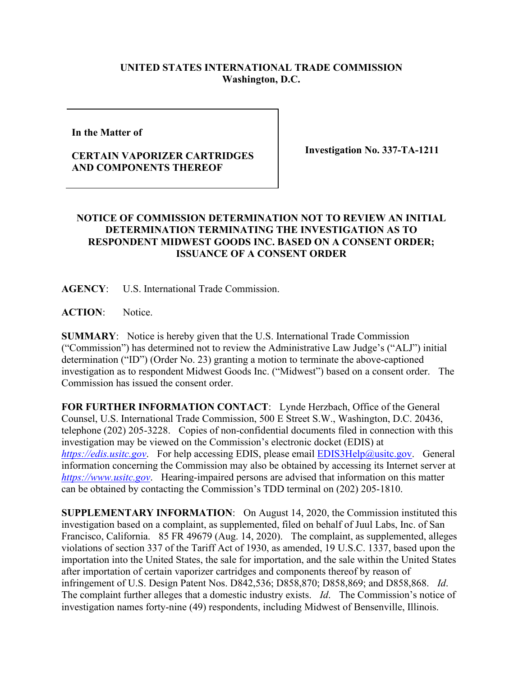## **UNITED STATES INTERNATIONAL TRADE COMMISSION Washington, D.C.**

**In the Matter of** 

## **CERTAIN VAPORIZER CARTRIDGES AND COMPONENTS THEREOF**

**Investigation No. 337-TA-1211**

## **NOTICE OF COMMISSION DETERMINATION NOT TO REVIEW AN INITIAL DETERMINATION TERMINATING THE INVESTIGATION AS TO RESPONDENT MIDWEST GOODS INC. BASED ON A CONSENT ORDER; ISSUANCE OF A CONSENT ORDER**

**AGENCY**: U.S. International Trade Commission.

**ACTION**: Notice.

**SUMMARY**: Notice is hereby given that the U.S. International Trade Commission ("Commission") has determined not to review the Administrative Law Judge's ("ALJ") initial determination ("ID") (Order No. 23) granting a motion to terminate the above-captioned investigation as to respondent Midwest Goods Inc. ("Midwest") based on a consent order. The Commission has issued the consent order.

**FOR FURTHER INFORMATION CONTACT**: Lynde Herzbach, Office of the General Counsel, U.S. International Trade Commission, 500 E Street S.W., Washington, D.C. 20436, telephone (202) 205-3228. Copies of non-confidential documents filed in connection with this investigation may be viewed on the Commission's electronic docket (EDIS) at *[https://edis.usitc.gov](https://edis.usitc.gov/)*. For help accessing EDIS, please email [EDIS3Help@usitc.gov.](mailto:EDIS3Help@usitc.gov) General information concerning the Commission may also be obtained by accessing its Internet server at *[https://www.usitc.gov](https://www.usitc.gov/)*. Hearing-impaired persons are advised that information on this matter can be obtained by contacting the Commission's TDD terminal on (202) 205-1810.

**SUPPLEMENTARY INFORMATION**: On August 14, 2020, the Commission instituted this investigation based on a complaint, as supplemented, filed on behalf of Juul Labs, Inc. of San Francisco, California. 85 FR 49679 (Aug. 14, 2020). The complaint, as supplemented, alleges violations of section 337 of the Tariff Act of 1930, as amended, 19 U.S.C. 1337, based upon the importation into the United States, the sale for importation, and the sale within the United States after importation of certain vaporizer cartridges and components thereof by reason of infringement of U.S. Design Patent Nos. D842,536; D858,870; D858,869; and D858,868. *Id*. The complaint further alleges that a domestic industry exists. *Id*. The Commission's notice of investigation names forty-nine (49) respondents, including Midwest of Bensenville, Illinois.